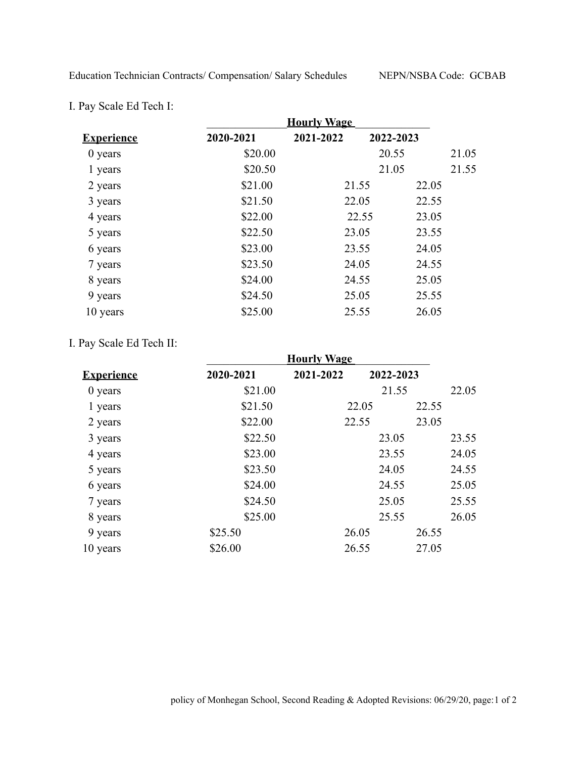| I. Pay Scale Ed Tech I: |  |  |  |  |  |  |
|-------------------------|--|--|--|--|--|--|
|-------------------------|--|--|--|--|--|--|

|                   | <b>Hourly Wage</b> |           |           |       |       |
|-------------------|--------------------|-----------|-----------|-------|-------|
| <b>Experience</b> | 2020-2021          | 2021-2022 | 2022-2023 |       |       |
| $0$ years         | \$20.00            |           | 20.55     |       | 21.05 |
| 1 years           | \$20.50            |           | 21.05     |       | 21.55 |
| 2 years           | \$21.00            | 21.55     |           | 22.05 |       |
| 3 years           | \$21.50            | 22.05     |           | 22.55 |       |
| 4 years           | \$22.00            |           | 22.55     | 23.05 |       |
| 5 years           | \$22.50            | 23.05     |           | 23.55 |       |
| 6 years           | \$23.00            | 23.55     |           | 24.05 |       |
| 7 years           | \$23.50            | 24.05     |           | 24.55 |       |
| 8 years           | \$24.00            | 24.55     |           | 25.05 |       |
| 9 years           | \$24.50            | 25.05     |           | 25.55 |       |
| 10 years          | \$25.00            | 25.55     |           | 26.05 |       |

## I. Pay Scale Ed Tech II:

|                   | <b>Hourly Wage</b> |           |           |       |       |
|-------------------|--------------------|-----------|-----------|-------|-------|
| <b>Experience</b> | 2020-2021          | 2021-2022 | 2022-2023 |       |       |
| $0$ years         | \$21.00            |           | 21.55     |       | 22.05 |
| 1 years           | \$21.50            |           | 22.05     | 22.55 |       |
| 2 years           | \$22.00            |           | 22.55     | 23.05 |       |
| 3 years           | \$22.50            |           | 23.05     |       | 23.55 |
| 4 years           | \$23.00            |           | 23.55     |       | 24.05 |
| 5 years           | \$23.50            |           | 24.05     |       | 24.55 |
| 6 years           | \$24.00            |           | 24.55     |       | 25.05 |
| 7 years           | \$24.50            |           | 25.05     |       | 25.55 |
| 8 years           | \$25.00            |           | 25.55     |       | 26.05 |
| 9 years           | \$25.50            | 26.05     |           | 26.55 |       |
| 10 years          | \$26.00            | 26.55     |           | 27.05 |       |